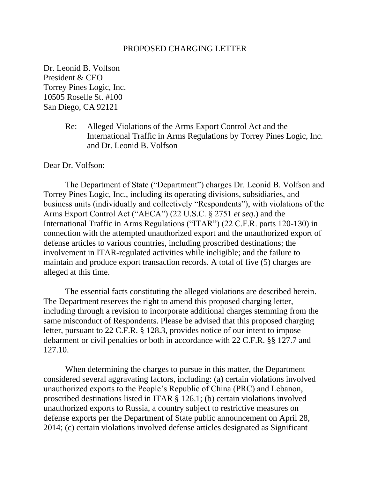#### PROPOSED CHARGING LETTER

Dr. Leonid B. Volfson President & CEO Torrey Pines Logic, Inc. 10505 Roselle St. #100 San Diego, CA 92121

> Re: Alleged Violations of the Arms Export Control Act and the International Traffic in Arms Regulations by Torrey Pines Logic, Inc. and Dr. Leonid B. Volfson

Dear Dr. Volfson:

The Department of State ("Department") charges Dr. Leonid B. Volfson and Torrey Pines Logic, Inc., including its operating divisions, subsidiaries, and business units (individually and collectively "Respondents"), with violations of the Arms Export Control Act ("AECA") (22 U.S.C. § 2751 *et seq*.) and the International Traffic in Arms Regulations ("ITAR") (22 C.F.R. parts 120-130) in connection with the attempted unauthorized export and the unauthorized export of defense articles to various countries, including proscribed destinations; the involvement in ITAR-regulated activities while ineligible; and the failure to maintain and produce export transaction records. A total of five (5) charges are alleged at this time.

The essential facts constituting the alleged violations are described herein. The Department reserves the right to amend this proposed charging letter, including through a revision to incorporate additional charges stemming from the same misconduct of Respondents. Please be advised that this proposed charging letter, pursuant to 22 C.F.R. § 128.3, provides notice of our intent to impose debarment or civil penalties or both in accordance with 22 C.F.R. §§ 127.7 and 127.10.

When determining the charges to pursue in this matter, the Department considered several aggravating factors, including: (a) certain violations involved unauthorized exports to the People's Republic of China (PRC) and Lebanon, proscribed destinations listed in ITAR § 126.1; (b) certain violations involved unauthorized exports to Russia, a country subject to restrictive measures on defense exports per the Department of State public announcement on April 28, 2014; (c) certain violations involved defense articles designated as Significant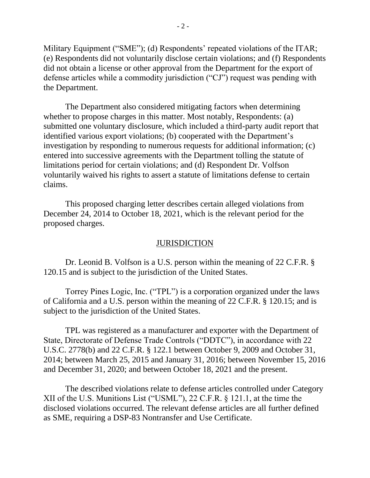Military Equipment ("SME"); (d) Respondents' repeated violations of the ITAR; (e) Respondents did not voluntarily disclose certain violations; and (f) Respondents did not obtain a license or other approval from the Department for the export of defense articles while a commodity jurisdiction ("CJ") request was pending with the Department.

The Department also considered mitigating factors when determining whether to propose charges in this matter. Most notably, Respondents: (a) submitted one voluntary disclosure, which included a third-party audit report that identified various export violations; (b) cooperated with the Department's investigation by responding to numerous requests for additional information; (c) entered into successive agreements with the Department tolling the statute of limitations period for certain violations; and (d) Respondent Dr. Volfson voluntarily waived his rights to assert a statute of limitations defense to certain claims.

This proposed charging letter describes certain alleged violations from December 24, 2014 to October 18, 2021, which is the relevant period for the proposed charges.

### **JURISDICTION**

Dr. Leonid B. Volfson is a U.S. person within the meaning of 22 C.F.R. § 120.15 and is subject to the jurisdiction of the United States.

Torrey Pines Logic, Inc. ("TPL") is a corporation organized under the laws of California and a U.S. person within the meaning of 22 C.F.R. § 120.15; and is subject to the jurisdiction of the United States.

TPL was registered as a manufacturer and exporter with the Department of State, Directorate of Defense Trade Controls ("DDTC"), in accordance with 22 U.S.C. 2778(b) and 22 C.F.R. § 122.1 between October 9, 2009 and October 31, 2014; between March 25, 2015 and January 31, 2016; between November 15, 2016 and December 31, 2020; and between October 18, 2021 and the present.

The described violations relate to defense articles controlled under Category XII of the U.S. Munitions List ("USML"), 22 C.F.R. § 121.1, at the time the disclosed violations occurred. The relevant defense articles are all further defined as SME, requiring a DSP-83 Nontransfer and Use Certificate.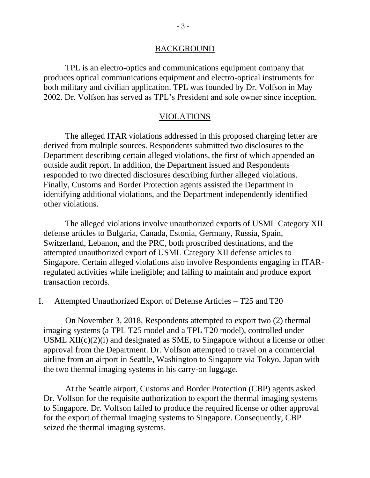## BACKGROUND

TPL is an electro-optics and communications equipment company that produces optical communications equipment and electro-optical instruments for both military and civilian application. TPL was founded by Dr. Volfson in May 2002. Dr. Volfson has served as TPL's President and sole owner since inception.

## VIOLATIONS

The alleged ITAR violations addressed in this proposed charging letter are derived from multiple sources. Respondents submitted two disclosures to the Department describing certain alleged violations, the first of which appended an outside audit report. In addition, the Department issued and Respondents responded to two directed disclosures describing further alleged violations. Finally, Customs and Border Protection agents assisted the Department in identifying additional violations, and the Department independently identified other violations.

The alleged violations involve unauthorized exports of USML Category XII defense articles to Bulgaria, Canada, Estonia, Germany, Russia, Spain, Switzerland, Lebanon, and the PRC, both proscribed destinations, and the attempted unauthorized export of USML Category XII defense articles to Singapore. Certain alleged violations also involve Respondents engaging in ITARregulated activities while ineligible; and failing to maintain and produce export transaction records.

## I. Attempted Unauthorized Export of Defense Articles – T25 and T20

On November 3, 2018, Respondents attempted to export two (2) thermal imaging systems (a TPL T25 model and a TPL T20 model), controlled under USML  $XII(c)(2)(i)$  and designated as SME, to Singapore without a license or other approval from the Department. Dr. Volfson attempted to travel on a commercial airline from an airport in Seattle, Washington to Singapore via Tokyo, Japan with the two thermal imaging systems in his carry-on luggage.

At the Seattle airport, Customs and Border Protection (CBP) agents asked Dr. Volfson for the requisite authorization to export the thermal imaging systems to Singapore. Dr. Volfson failed to produce the required license or other approval for the export of thermal imaging systems to Singapore. Consequently, CBP seized the thermal imaging systems.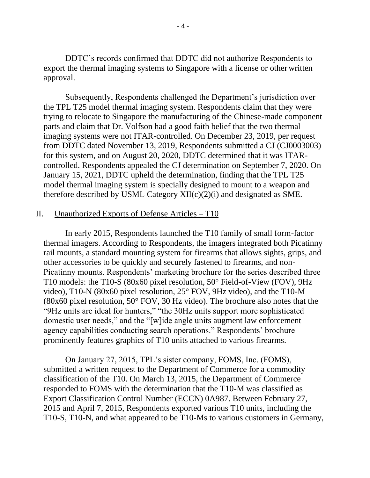DDTC's records confirmed that DDTC did not authorize Respondents to export the thermal imaging systems to Singapore with a license or other written approval.

Subsequently, Respondents challenged the Department's jurisdiction over the TPL T25 model thermal imaging system. Respondents claim that they were trying to relocate to Singapore the manufacturing of the Chinese-made component parts and claim that Dr. Volfson had a good faith belief that the two thermal imaging systems were not ITAR-controlled. On December 23, 2019, per request from DDTC dated November 13, 2019, Respondents submitted a CJ (CJ0003003) for this system, and on August 20, 2020, DDTC determined that it was ITARcontrolled. Respondents appealed the CJ determination on September 7, 2020. On January 15, 2021, DDTC upheld the determination, finding that the TPL T25 model thermal imaging system is specially designed to mount to a weapon and therefore described by USML Category XII(c)(2)(i) and designated as SME.

# II. Unauthorized Exports of Defense Articles – T10

In early 2015, Respondents launched the T10 family of small form-factor thermal imagers. According to Respondents, the imagers integrated both Picatinny rail mounts, a standard mounting system for firearms that allows sights, grips, and other accessories to be quickly and securely fastened to firearms, and non-Picatinny mounts. Respondents' marketing brochure for the series described three T10 models: the T10-S (80x60 pixel resolution, 50° Field-of-View (FOV), 9Hz video), T10-N (80x60 pixel resolution, 25° FOV, 9Hz video), and the T10-M (80x60 pixel resolution, 50° FOV, 30 Hz video). The brochure also notes that the "9Hz units are ideal for hunters," "the 30Hz units support more sophisticated domestic user needs," and the "[w]ide angle units augment law enforcement agency capabilities conducting search operations." Respondents' brochure prominently features graphics of T10 units attached to various firearms.

On January 27, 2015, TPL's sister company, FOMS, Inc. (FOMS), submitted a written request to the Department of Commerce for a commodity classification of the T10. On March 13, 2015, the Department of Commerce responded to FOMS with the determination that the T10-M was classified as Export Classification Control Number (ECCN) 0A987. Between February 27, 2015 and April 7, 2015, Respondents exported various T10 units, including the T10-S, T10-N, and what appeared to be T10-Ms to various customers in Germany,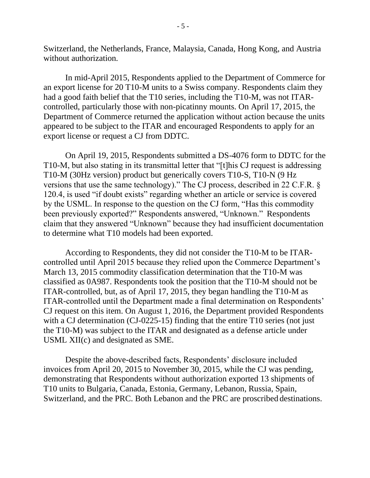Switzerland, the Netherlands, France, Malaysia, Canada, Hong Kong, and Austria without authorization.

In mid-April 2015, Respondents applied to the Department of Commerce for an export license for 20 T10-M units to a Swiss company. Respondents claim they had a good faith belief that the T10 series, including the T10-M, was not ITARcontrolled, particularly those with non-picatinny mounts. On April 17, 2015, the Department of Commerce returned the application without action because the units appeared to be subject to the ITAR and encouraged Respondents to apply for an export license or request a CJ from DDTC.

On April 19, 2015, Respondents submitted a DS-4076 form to DDTC for the T10-M, but also stating in its transmittal letter that "[t]his CJ request is addressing T10-M (30Hz version) product but generically covers T10-S, T10-N (9 Hz versions that use the same technology)." The CJ process, described in 22 C.F.R. § 120.4, is used "if doubt exists" regarding whether an article or service is covered by the USML. In response to the question on the CJ form, "Has this commodity been previously exported?" Respondents answered, "Unknown." Respondents claim that they answered "Unknown" because they had insufficient documentation to determine what T10 models had been exported.

According to Respondents, they did not consider the T10-M to be ITARcontrolled until April 2015 because they relied upon the Commerce Department's March 13, 2015 commodity classification determination that the T10-M was classified as 0A987. Respondents took the position that the T10-M should not be ITAR-controlled, but, as of April 17, 2015, they began handling the T10-M as ITAR-controlled until the Department made a final determination on Respondents' CJ request on this item. On August 1, 2016, the Department provided Respondents with a CJ determination (CJ-0225-15) finding that the entire T10 series (not just the T10-M) was subject to the ITAR and designated as a defense article under USML XII(c) and designated as SME.

Despite the above-described facts, Respondents' disclosure included invoices from April 20, 2015 to November 30, 2015, while the CJ was pending, demonstrating that Respondents without authorization exported 13 shipments of T10 units to Bulgaria, Canada, Estonia, Germany, Lebanon, Russia, Spain, Switzerland, and the PRC. Both Lebanon and the PRC are proscribed destinations.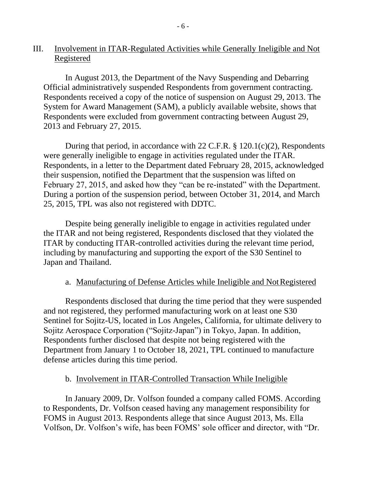# III. Involvement in ITAR-Regulated Activities while Generally Ineligible and Not Registered

In August 2013, the Department of the Navy Suspending and Debarring Official administratively suspended Respondents from government contracting. Respondents received a copy of the notice of suspension on August 29, 2013. The System for Award Management (SAM), a publicly available website, shows that Respondents were excluded from government contracting between August 29, 2013 and February 27, 2015.

During that period, in accordance with 22 C.F.R. § 120.1(c)(2), Respondents were generally ineligible to engage in activities regulated under the ITAR. Respondents, in a letter to the Department dated February 28, 2015, acknowledged their suspension, notified the Department that the suspension was lifted on February 27, 2015, and asked how they "can be re-instated" with the Department. During a portion of the suspension period, between October 31, 2014, and March 25, 2015, TPL was also not registered with DDTC.

Despite being generally ineligible to engage in activities regulated under the ITAR and not being registered, Respondents disclosed that they violated the ITAR by conducting ITAR-controlled activities during the relevant time period, including by manufacturing and supporting the export of the S30 Sentinel to Japan and Thailand.

# a. Manufacturing of Defense Articles while Ineligible and NotRegistered

Respondents disclosed that during the time period that they were suspended and not registered, they performed manufacturing work on at least one S30 Sentinel for Sojitz-US, located in Los Angeles, California, for ultimate delivery to Sojitz Aerospace Corporation ("Sojitz-Japan") in Tokyo, Japan. In addition, Respondents further disclosed that despite not being registered with the Department from January 1 to October 18, 2021, TPL continued to manufacture defense articles during this time period.

### b. Involvement in ITAR-Controlled Transaction While Ineligible

In January 2009, Dr. Volfson founded a company called FOMS. According to Respondents, Dr. Volfson ceased having any management responsibility for FOMS in August 2013. Respondents allege that since August 2013, Ms. Ella Volfson, Dr. Volfson's wife, has been FOMS' sole officer and director, with "Dr.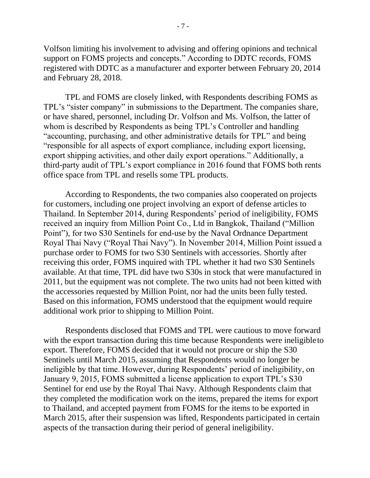Volfson limiting his involvement to advising and offering opinions and technical support on FOMS projects and concepts." According to DDTC records, FOMS registered with DDTC as a manufacturer and exporter between February 20, 2014 and February 28, 2018.

TPL and FOMS are closely linked, with Respondents describing FOMS as TPL's "sister company" in submissions to the Department. The companies share, or have shared, personnel, including Dr. Volfson and Ms. Volfson, the latter of whom is described by Respondents as being TPL's Controller and handling "accounting, purchasing, and other administrative details for TPL" and being "responsible for all aspects of export compliance, including export licensing, export shipping activities, and other daily export operations." Additionally, a third-party audit of TPL's export compliance in 2016 found that FOMS both rents office space from TPL and resells some TPL products.

According to Respondents, the two companies also cooperated on projects for customers, including one project involving an export of defense articles to Thailand. In September 2014, during Respondents' period of ineligibility, FOMS received an inquiry from Million Point Co., Ltd in Bangkok, Thailand ("Million Point"), for two S30 Sentinels for end-use by the Naval Ordnance Department Royal Thai Navy ("Royal Thai Navy"). In November 2014, Million Point issued a purchase order to FOMS for two S30 Sentinels with accessories. Shortly after receiving this order, FOMS inquired with TPL whether it had two S30 Sentinels available. At that time, TPL did have two S30s in stock that were manufactured in 2011, but the equipment was not complete. The two units had not been kitted with the accessories requested by Million Point, nor had the units been fully tested. Based on this information, FOMS understood that the equipment would require additional work prior to shipping to Million Point.

Respondents disclosed that FOMS and TPL were cautious to move forward with the export transaction during this time because Respondents were ineligible to export. Therefore, FOMS decided that it would not procure or ship the S30 Sentinels until March 2015, assuming that Respondents would no longer be ineligible by that time. However, during Respondents' period of ineligibility, on January 9, 2015, FOMS submitted a license application to export TPL's S30 Sentinel for end use by the Royal Thai Navy. Although Respondents claim that they completed the modification work on the items, prepared the items for export to Thailand, and accepted payment from FOMS for the items to be exported in March 2015, after their suspension was lifted, Respondents participated in certain aspects of the transaction during their period of general ineligibility.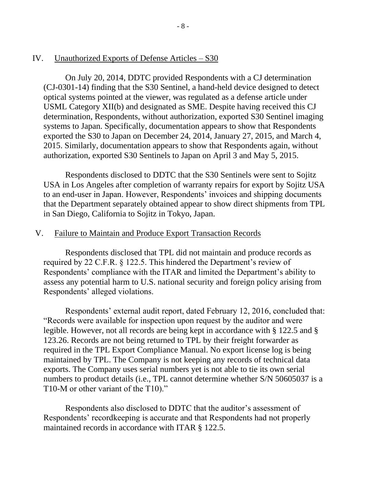## IV. Unauthorized Exports of Defense Articles – S30

On July 20, 2014, DDTC provided Respondents with a CJ determination (CJ-0301-14) finding that the S30 Sentinel, a hand-held device designed to detect optical systems pointed at the viewer, was regulated as a defense article under USML Category XII(b) and designated as SME. Despite having received this CJ determination, Respondents, without authorization, exported S30 Sentinel imaging systems to Japan. Specifically, documentation appears to show that Respondents exported the S30 to Japan on December 24, 2014, January 27, 2015, and March 4, 2015. Similarly, documentation appears to show that Respondents again, without authorization, exported S30 Sentinels to Japan on April 3 and May 5, 2015.

Respondents disclosed to DDTC that the S30 Sentinels were sent to Sojitz USA in Los Angeles after completion of warranty repairs for export by Sojitz USA to an end-user in Japan. However, Respondents' invoices and shipping documents that the Department separately obtained appear to show direct shipments from TPL in San Diego, California to Sojitz in Tokyo, Japan.

# V. Failure to Maintain and Produce Export Transaction Records

Respondents disclosed that TPL did not maintain and produce records as required by 22 C.F.R. § 122.5. This hindered the Department's review of Respondents' compliance with the ITAR and limited the Department's ability to assess any potential harm to U.S. national security and foreign policy arising from Respondents' alleged violations.

Respondents' external audit report, dated February 12, 2016, concluded that: "Records were available for inspection upon request by the auditor and were legible. However, not all records are being kept in accordance with § 122.5 and § 123.26. Records are not being returned to TPL by their freight forwarder as required in the TPL Export Compliance Manual. No export license log is being maintained by TPL. The Company is not keeping any records of technical data exports. The Company uses serial numbers yet is not able to tie its own serial numbers to product details (i.e., TPL cannot determine whether S/N 50605037 is a T10-M or other variant of the T10)."

Respondents also disclosed to DDTC that the auditor's assessment of Respondents' recordkeeping is accurate and that Respondents had not properly maintained records in accordance with ITAR § 122.5.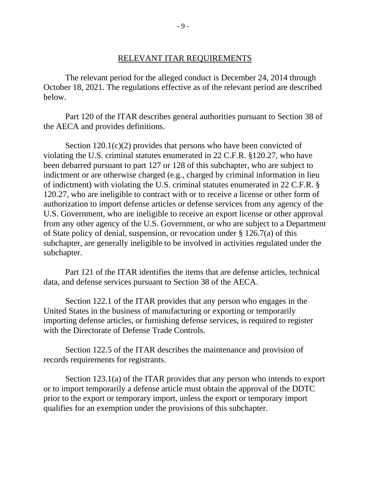#### RELEVANT ITAR REQUIREMENTS

The relevant period for the alleged conduct is December 24, 2014 through October 18, 2021. The regulations effective as of the relevant period are described below.

Part 120 of the ITAR describes general authorities pursuant to Section 38 of the AECA and provides definitions.

Section 120.1(c)(2) provides that persons who have been convicted of violating the U.S. criminal statutes enumerated in 22 C.F.R. §120.27, who have been debarred pursuant to part 127 or 128 of this subchapter, who are subject to indictment or are otherwise charged (e.g., charged by criminal information in lieu of indictment) with violating the U.S. criminal statutes enumerated in 22 C.F.R. § 120.27, who are ineligible to contract with or to receive a license or other form of authorization to import defense articles or defense services from any agency of the U.S. Government, who are ineligible to receive an export license or other approval from any other agency of the U.S. Government, or who are subject to a Department of State policy of denial, suspension, or revocation under § 126.7(a) of this subchapter, are generally ineligible to be involved in activities regulated under the subchapter.

Part 121 of the ITAR identifies the items that are defense articles, technical data, and defense services pursuant to Section 38 of the AECA.

Section 122.1 of the ITAR provides that any person who engages in the United States in the business of manufacturing or exporting or temporarily importing defense articles, or furnishing defense services, is required to register with the Directorate of Defense Trade Controls.

Section 122.5 of the ITAR describes the maintenance and provision of records requirements for registrants.

Section 123.1(a) of the ITAR provides that any person who intends to export or to import temporarily a defense article must obtain the approval of the DDTC prior to the export or temporary import, unless the export or temporary import qualifies for an exemption under the provisions of this subchapter.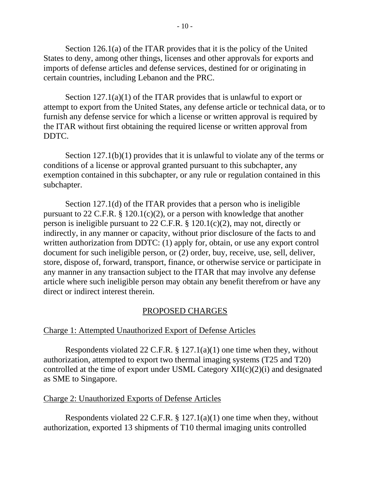Section 126.1(a) of the ITAR provides that it is the policy of the United States to deny, among other things, licenses and other approvals for exports and imports of defense articles and defense services, destined for or originating in certain countries, including Lebanon and the PRC.

Section 127.1(a)(1) of the ITAR provides that is unlawful to export or attempt to export from the United States, any defense article or technical data, or to furnish any defense service for which a license or written approval is required by the ITAR without first obtaining the required license or written approval from DDTC.

Section 127.1(b)(1) provides that it is unlawful to violate any of the terms or conditions of a license or approval granted pursuant to this subchapter, any exemption contained in this subchapter, or any rule or regulation contained in this subchapter.

Section 127.1(d) of the ITAR provides that a person who is ineligible pursuant to 22 C.F.R. § 120.1(c)(2), or a person with knowledge that another person is ineligible pursuant to 22 C.F.R. § 120.1(c)(2), may not, directly or indirectly, in any manner or capacity, without prior disclosure of the facts to and written authorization from DDTC: (1) apply for, obtain, or use any export control document for such ineligible person, or (2) order, buy, receive, use, sell, deliver, store, dispose of, forward, transport, finance, or otherwise service or participate in any manner in any transaction subject to the ITAR that may involve any defense article where such ineligible person may obtain any benefit therefrom or have any direct or indirect interest therein.

# PROPOSED CHARGES

### Charge 1: Attempted Unauthorized Export of Defense Articles

Respondents violated 22 C.F.R.  $\S$  127.1(a)(1) one time when they, without authorization, attempted to export two thermal imaging systems (T25 and T20) controlled at the time of export under USML Category XII(c)(2)(i) and designated as SME to Singapore.

### Charge 2: Unauthorized Exports of Defense Articles

Respondents violated 22 C.F.R. § 127.1(a)(1) one time when they, without authorization, exported 13 shipments of T10 thermal imaging units controlled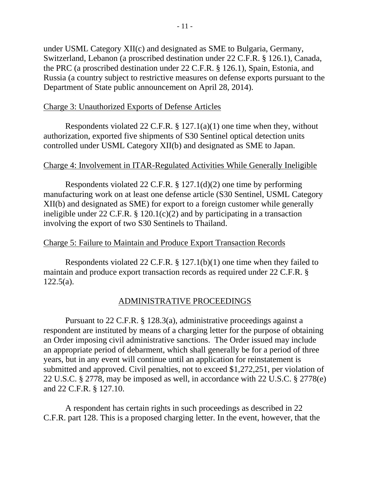under USML Category XII(c) and designated as SME to Bulgaria, Germany, Switzerland, Lebanon (a proscribed destination under 22 C.F.R. § 126.1), Canada, the PRC (a proscribed destination under 22 C.F.R. § 126.1), Spain, Estonia, and Russia (a country subject to restrictive measures on defense exports pursuant to the Department of State public announcement on April 28, 2014).

# Charge 3: Unauthorized Exports of Defense Articles

Respondents violated 22 C.F.R.  $\S$  127.1(a)(1) one time when they, without authorization, exported five shipments of S30 Sentinel optical detection units controlled under USML Category XII(b) and designated as SME to Japan.

# Charge 4: Involvement in ITAR-Regulated Activities While Generally Ineligible

Respondents violated 22 C.F.R. § 127.1(d)(2) one time by performing manufacturing work on at least one defense article (S30 Sentinel, USML Category XII(b) and designated as SME) for export to a foreign customer while generally ineligible under 22 C.F.R. § 120.1(c)(2) and by participating in a transaction involving the export of two S30 Sentinels to Thailand.

# Charge 5: Failure to Maintain and Produce Export Transaction Records

Respondents violated 22 C.F.R. § 127.1(b)(1) one time when they failed to maintain and produce export transaction records as required under 22 C.F.R. § 122.5(a).

# ADMINISTRATIVE PROCEEDINGS

Pursuant to 22 C.F.R. § 128.3(a), administrative proceedings against a respondent are instituted by means of a charging letter for the purpose of obtaining an Order imposing civil administrative sanctions. The Order issued may include an appropriate period of debarment, which shall generally be for a period of three years, but in any event will continue until an application for reinstatement is submitted and approved. Civil penalties, not to exceed \$1,272,251, per violation of 22 U.S.C. § 2778, may be imposed as well, in accordance with 22 U.S.C. § 2778(e) and 22 C.F.R. § 127.10.

A respondent has certain rights in such proceedings as described in 22 C.F.R. part 128. This is a proposed charging letter. In the event, however, that the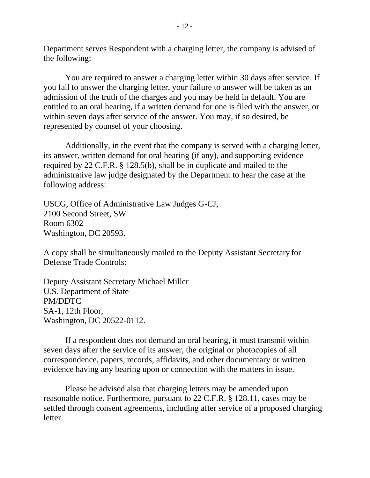Department serves Respondent with a charging letter, the company is advised of the following:

You are required to answer a charging letter within 30 days after service. If you fail to answer the charging letter, your failure to answer will be taken as an admission of the truth of the charges and you may be held in default. You are entitled to an oral hearing, if a written demand for one is filed with the answer, or within seven days after service of the answer. You may, if so desired, be represented by counsel of your choosing.

Additionally, in the event that the company is served with a charging letter, its answer, written demand for oral hearing (if any), and supporting evidence required by 22 C.F.R. § 128.5(b), shall be in duplicate and mailed to the administrative law judge designated by the Department to hear the case at the following address:

USCG, Office of Administrative Law Judges G-CJ, 2100 Second Street, SW Room 6302 Washington, DC 20593.

A copy shall be simultaneously mailed to the Deputy Assistant Secretary for Defense Trade Controls:

Deputy Assistant Secretary Michael Miller U.S. Department of State PM/DDTC SA-1, 12th Floor, Washington, DC 20522-0112.

If a respondent does not demand an oral hearing, it must transmit within seven days after the service of its answer, the original or photocopies of all correspondence, papers, records, affidavits, and other documentary or written evidence having any bearing upon or connection with the matters in issue.

Please be advised also that charging letters may be amended upon reasonable notice. Furthermore, pursuant to 22 C.F.R. § 128.11, cases may be settled through consent agreements, including after service of a proposed charging letter.